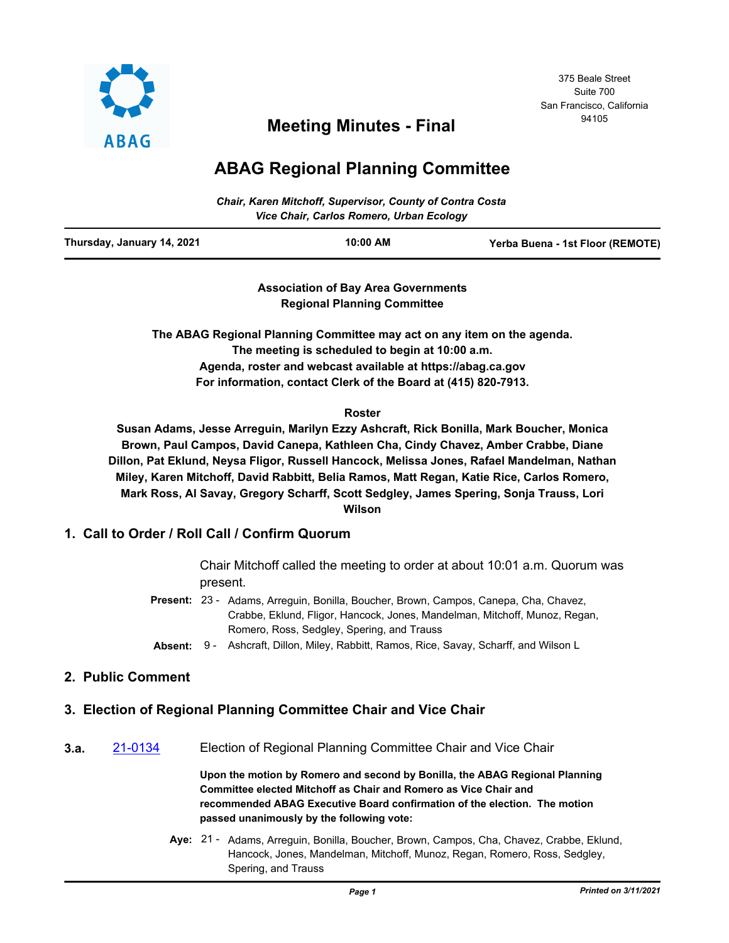

# <sup>94105</sup> **Meeting Minutes - Final**

## **ABAG Regional Planning Committee**

| <b>Chair, Karen Mitchoff, Supervisor, County of Contra Costa</b><br>Vice Chair, Carlos Romero, Urban Ecology |            |                                  |  |  |  |
|--------------------------------------------------------------------------------------------------------------|------------|----------------------------------|--|--|--|
| Thursday, January 14, 2021                                                                                   | $10:00$ AM | Yerba Buena - 1st Floor (REMOTE) |  |  |  |

**Association of Bay Area Governments Regional Planning Committee**

**The ABAG Regional Planning Committee may act on any item on the agenda. The meeting is scheduled to begin at 10:00 a.m. Agenda, roster and webcast available at https://abag.ca.gov For information, contact Clerk of the Board at (415) 820-7913.**

#### **Roster**

**Susan Adams, Jesse Arreguin, Marilyn Ezzy Ashcraft, Rick Bonilla, Mark Boucher, Monica Brown, Paul Campos, David Canepa, Kathleen Cha, Cindy Chavez, Amber Crabbe, Diane Dillon, Pat Eklund, Neysa Fligor, Russell Hancock, Melissa Jones, Rafael Mandelman, Nathan Miley, Karen Mitchoff, David Rabbitt, Belia Ramos, Matt Regan, Katie Rice, Carlos Romero, Mark Ross, Al Savay, Gregory Scharff, Scott Sedgley, James Spering, Sonja Trauss, Lori Wilson**

## **1. Call to Order / Roll Call / Confirm Quorum**

Chair Mitchoff called the meeting to order at about 10:01 a.m. Quorum was present.

- Present: 23 Adams, Arreguin, Bonilla, Boucher, Brown, Campos, Canepa, Cha, Chavez, Crabbe, Eklund, Fligor, Hancock, Jones, Mandelman, Mitchoff, Munoz, Regan, Romero, Ross, Sedgley, Spering, and Trauss
- **Absent:** 9 Ashcraft, Dillon, Miley, Rabbitt, Ramos, Rice, Savay, Scharff, and Wilson L

## **2. Public Comment**

## **3. Election of Regional Planning Committee Chair and Vice Chair**

**3.a.** [21-0134](http://mtc.legistar.com/gateway.aspx?m=l&id=/matter.aspx?key=21727) Election of Regional Planning Committee Chair and Vice Chair

**Upon the motion by Romero and second by Bonilla, the ABAG Regional Planning Committee elected Mitchoff as Chair and Romero as Vice Chair and recommended ABAG Executive Board confirmation of the election. The motion passed unanimously by the following vote:**

Aye: 21 - Adams, Arreguin, Bonilla, Boucher, Brown, Campos, Cha, Chavez, Crabbe, Eklund, Hancock, Jones, Mandelman, Mitchoff, Munoz, Regan, Romero, Ross, Sedgley, Spering, and Trauss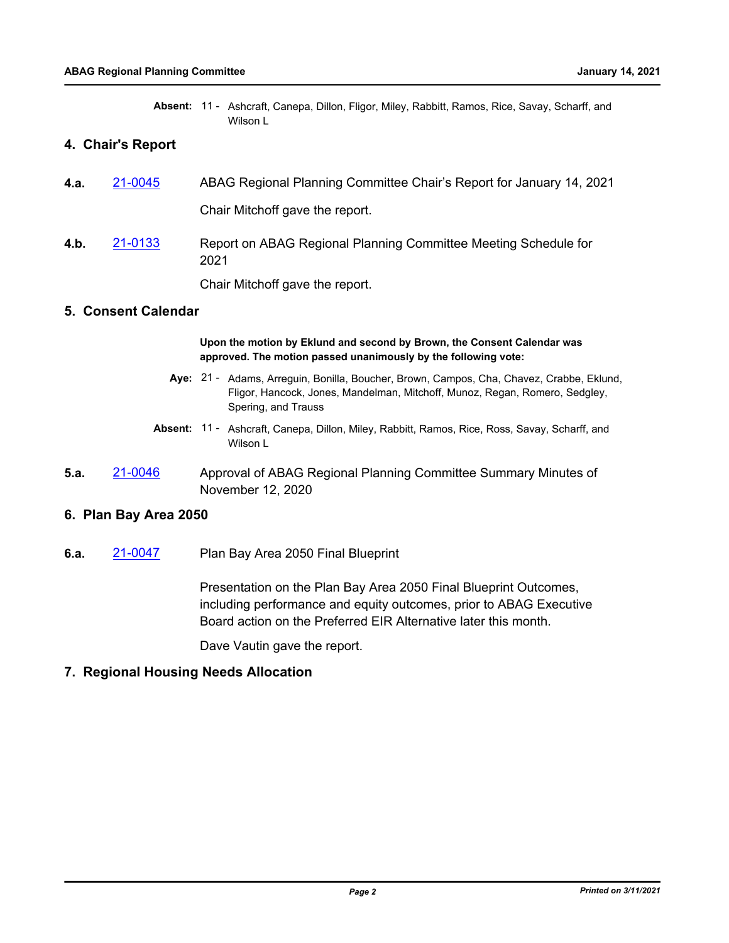|  | Absent: 11 - Ashcraft, Canepa, Dillon, Fligor, Miley, Rabbitt, Ramos, Rice, Savay, Scharff, and |  |  |  |  |  |
|--|-------------------------------------------------------------------------------------------------|--|--|--|--|--|
|  | Wilson L                                                                                        |  |  |  |  |  |

### **4. Chair's Report**

| 4.a. | 21-0045 | ABAG Regional Planning Committee Chair's Report for January 14, 2021    |
|------|---------|-------------------------------------------------------------------------|
|      |         | Chair Mitchoff gave the report.                                         |
| 4.b. | 21-0133 | Report on ABAG Regional Planning Committee Meeting Schedule for<br>2021 |
|      |         | Chair Mitchoff gave the report.                                         |

#### **5. Consent Calendar**

**Upon the motion by Eklund and second by Brown, the Consent Calendar was approved. The motion passed unanimously by the following vote:**

- Aye: 21 Adams, Arreguin, Bonilla, Boucher, Brown, Campos, Cha, Chavez, Crabbe, Eklund, Fligor, Hancock, Jones, Mandelman, Mitchoff, Munoz, Regan, Romero, Sedgley, Spering, and Trauss
- Absent: 11 Ashcraft, Canepa, Dillon, Miley, Rabbitt, Ramos, Rice, Ross, Savay, Scharff, and Wilson L
- **5.a.** [21-0046](http://mtc.legistar.com/gateway.aspx?m=l&id=/matter.aspx?key=21639) Approval of ABAG Regional Planning Committee Summary Minutes of November 12, 2020

#### **6. Plan Bay Area 2050**

**6.a.** [21-0047](http://mtc.legistar.com/gateway.aspx?m=l&id=/matter.aspx?key=21640) Plan Bay Area 2050 Final Blueprint

Presentation on the Plan Bay Area 2050 Final Blueprint Outcomes, including performance and equity outcomes, prior to ABAG Executive Board action on the Preferred EIR Alternative later this month.

Dave Vautin gave the report.

#### **7. Regional Housing Needs Allocation**